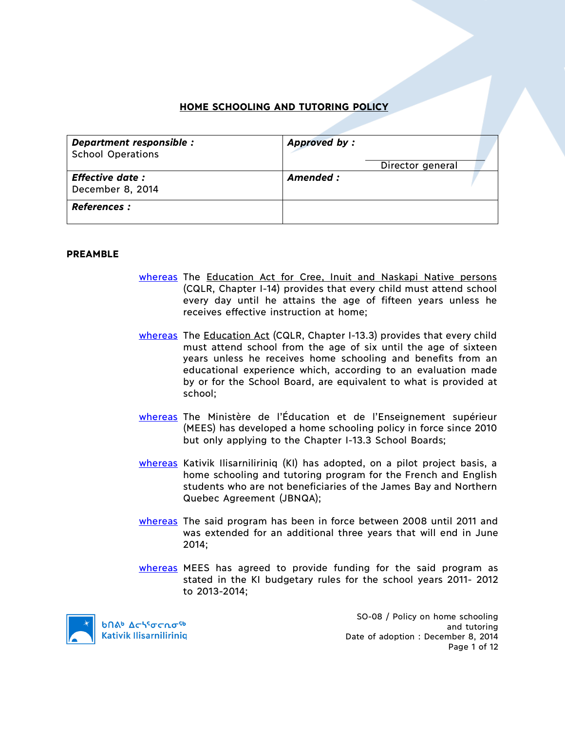# **HOME SCHOOLING AND TUTORING POLICY**

| Department responsible :<br><b>School Operations</b> | Approved by:     |  |
|------------------------------------------------------|------------------|--|
|                                                      | Director general |  |
| <b>Effective date:</b><br>December 8, 2014           | Amended :        |  |
| <b>References :</b>                                  |                  |  |

#### **PREAMBLE**

- whereas The Education Act for Cree, Inuit and Naskapi Native persons (CQLR, Chapter I-14) provides that every child must attend school every day until he attains the age of fifteen years unless he receives effective instruction at home;
- whereas The Education Act (CQLR, Chapter I-13.3) provides that every child must attend school from the age of six until the age of sixteen years unless he receives home schooling and benefits from an educational experience which, according to an evaluation made by or for the School Board, are equivalent to what is provided at school;
- whereas The Ministère de l'Éducation et de l'Enseignement supérieur (MEES) has developed a home schooling policy in force since 2010 but only applying to the Chapter I-13.3 School Boards;
- whereas Kativik Ilisarniliriniq (KI) has adopted, on a pilot project basis, a home schooling and tutoring program for the French and English students who are not beneficiaries of the James Bay and Northern Quebec Agreement (JBNQA);
- whereas The said program has been in force between 2008 until 2011 and was extended for an additional three years that will end in June 2014;
- whereas MEES has agreed to provide funding for the said program as stated in the KI budgetary rules for the school years 2011- 2012 to 2013-2014;



**b**በል<sup>b</sup> Δς<sup>56</sup>σς λο<sup>56</sup> **Kativik Ilisarniliriniq** 

SO-08 / Policy on home schooling and tutoring Date of adoption : December 8, 2014 Page 1 of 12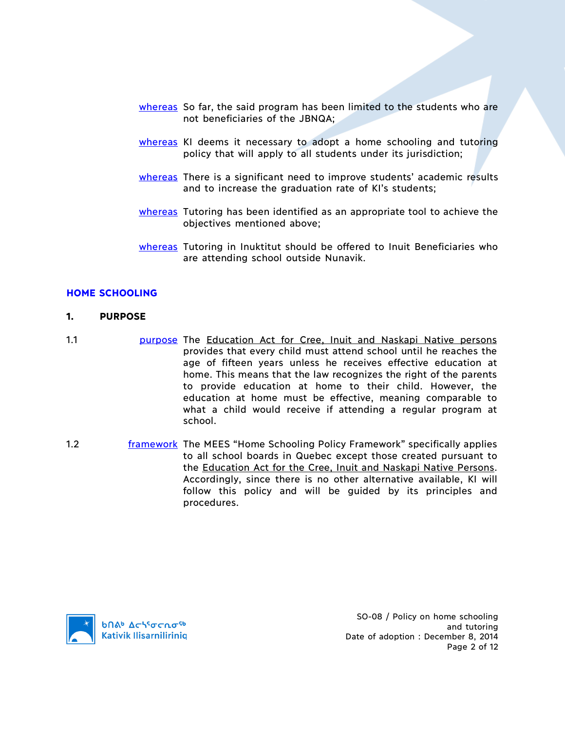- whereas So far, the said program has been limited to the students who are not beneficiaries of the JBNQA;
- whereas KI deems it necessary to adopt a home schooling and tutoring policy that will apply to all students under its jurisdiction;
- whereas There is a significant need to improve students' academic results and to increase the graduation rate of KI's students;
- whereas Tutoring has been identified as an appropriate tool to achieve the objectives mentioned above;
- whereas Tutoring in Inuktitut should be offered to Inuit Beneficiaries who are attending school outside Nunavik.

#### **HOME SCHOOLING**

#### **1. PURPOSE**

1.1 **purpose The Education Act for Cree, Inuit and Naskapi Native persons** provides that every child must attend school until he reaches the age of fifteen years unless he receives effective education at home. This means that the law recognizes the right of the parents to provide education at home to their child. However, the education at home must be effective, meaning comparable to what a child would receive if attending a regular program at school.

1.2 **framework The MEES "Home Schooling Policy Framework" specifically applies** to all school boards in Quebec except those created pursuant to the Education Act for the Cree, Inuit and Naskapi Native Persons. Accordingly, since there is no other alternative available, KI will follow this policy and will be guided by its principles and procedures.

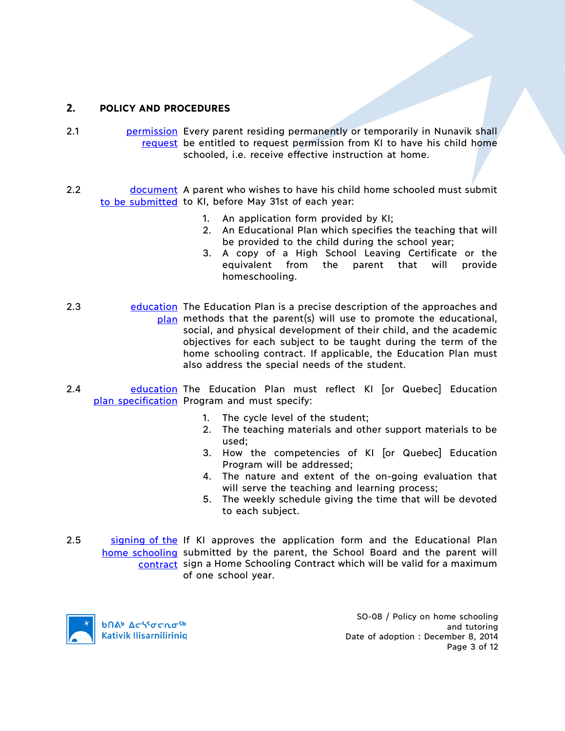## **2. POLICY AND PROCEDURES**

- 2.1 **permission** Every parent residing permanently or temporarily in Nunavik shall request be entitled to request permission from KI to have his child home schooled, i.e. receive effective instruction at home.
- 2.2 document A parent who wishes to have his child home schooled must submit to be submitted to KI, before May 31st of each year:
	- 1. An application form provided by KI;
	- 2. An Educational Plan which specifies the teaching that will be provided to the child during the school year;
	- 3. A copy of a High School Leaving Certificate or the equivalent from the parent that will provide homeschooling.
- 2.3 education The Education Plan is a precise description of the approaches and plan methods that the parent(s) will use to promote the educational, social, and physical development of their child, and the academic objectives for each subject to be taught during the term of the home schooling contract. If applicable, the Education Plan must also address the special needs of the student.
- 2.4 **education The Education Plan must reflect KI [or Quebec] Education** plan specification Program and must specify:
	- 1. The cycle level of the student;
	- 2. The teaching materials and other support materials to be used;
	- 3. How the competencies of KI [or Quebec] Education Program will be addressed;
	- 4. The nature and extent of the on-going evaluation that will serve the teaching and learning process;
	- 5. The weekly schedule giving the time that will be devoted to each subject.
- 2.5 signing of the If KI approves the application form and the Educational Plan home schooling submitted by the parent, the School Board and the parent will contract sign a Home Schooling Contract which will be valid for a maximum of one school year.



SO-08 / Policy on home schooling and tutoring Date of adoption : December 8, 2014 Page 3 of 12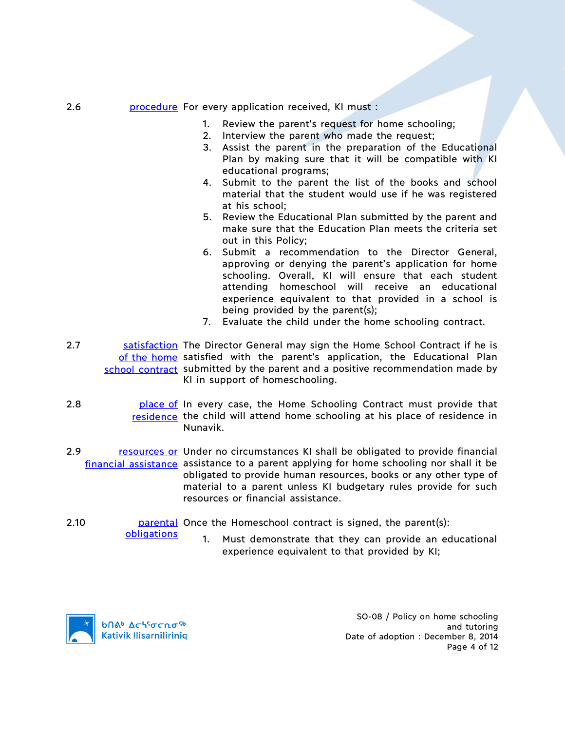- 2.6 **procedure** For every application received, KI must :
	- 1. Review the parent's request for home schooling;
	- 2. Interview the parent who made the request;
	- 3. Assist the parent in the preparation of the Educational Plan by making sure that it will be compatible with KI educational programs;
	- 4. Submit to the parent the list of the books and school material that the student would use if he was registered at his school;
	- 5. Review the Educational Plan submitted by the parent and make sure that the Education Plan meets the criteria set out in this Policy;
	- 6. Submit a recommendation to the Director General, approving or denying the parent's application for home schooling. Overall, KI will ensure that each student attending homeschool will receive an educational experience equivalent to that provided in a school is being provided by the parent(s);
	- 7. Evaluate the child under the home schooling contract.
- 2.7 Satisfaction The Director General may sign the Home School Contract if he is of the home satisfied with the parent's application, the Educational Plan school contract submitted by the parent and a positive recommendation made by KI in support of homeschooling.
- 2.8 **place of** In every case, the Home Schooling Contract must provide that residence the child will attend home schooling at his place of residence in Nunavik.
- 2.9 resources or Under no circumstances KI shall be obligated to provide financial financial assistance assistance to a parent applying for home schooling nor shall it be obligated to provide human resources, books or any other type of material to a parent unless KI budgetary rules provide for such resources or financial assistance.
- 2.10 **parental Once the Homeschool contract is signed, the parent(s):** obligations
	- 1. Must demonstrate that they can provide an educational experience equivalent to that provided by KI;



SO-08 / Policy on home schooling and tutoring Date of adoption : December 8, 2014 Page 4 of 12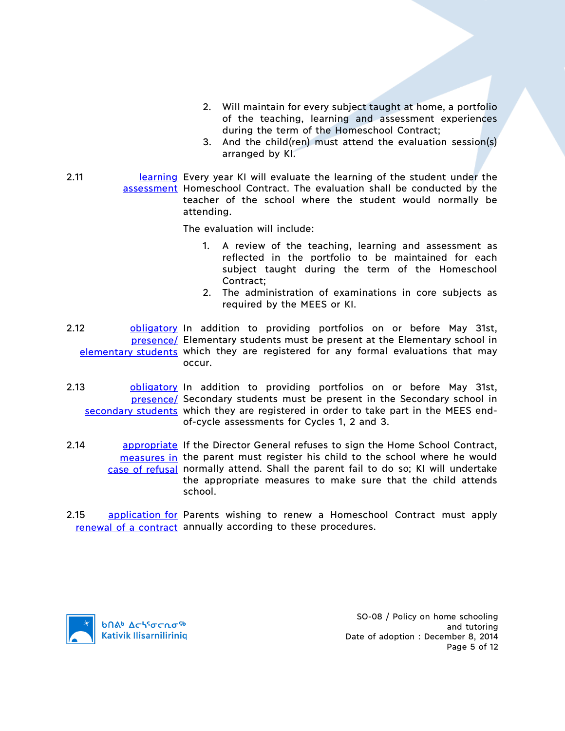- 2. Will maintain for every subject taught at home, a portfolio of the teaching, learning and assessment experiences during the term of the Homeschool Contract;
- 3. And the child(ren) must attend the evaluation session(s) arranged by KI.
- 2.11 **Learning Every year KI will evaluate the learning of the student under the** assessment Homeschool Contract. The evaluation shall be conducted by the teacher of the school where the student would normally be attending.

The evaluation will include:

- 1. A review of the teaching, learning and assessment as reflected in the portfolio to be maintained for each subject taught during the term of the Homeschool Contract;
- 2. The administration of examinations in core subjects as required by the MEES or KI.
- 2.12 **blue obligatory** In addition to providing portfolios on or before May 31st, presence/ Elementary students must be present at the Elementary school in elementary students which they are registered for any formal evaluations that may occur.
- 2.13 **bligatory** In addition to providing portfolios on or before May 31st, presence/ Secondary students must be present in the Secondary school in secondary students which they are registered in order to take part in the MEES endof-cycle assessments for Cycles 1, 2 and 3.
- 2.14 **appropriate** If the Director General refuses to sign the Home School Contract, measures in the parent must register his child to the school where he would case of refusal normally attend. Shall the parent fail to do so; KI will undertake the appropriate measures to make sure that the child attends school.
- 2.15 application for Parents wishing to renew a Homeschool Contract must apply renewal of a contract annually according to these procedures.



SO-08 / Policy on home schooling and tutoring Date of adoption : December 8, 2014 Page 5 of 12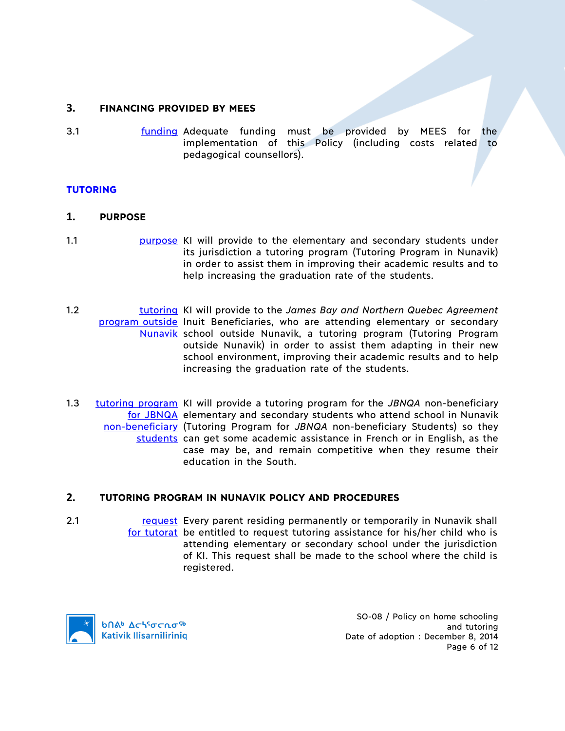## **3. FINANCING PROVIDED BY MEES**

3.1 **funding Adequate funding must be provided by MEES for the** implementation of this Policy (including costs related to pedagogical counsellors).

### **TUTORING**

#### **1. PURPOSE**

- 1.1 **purpose KI will provide to the elementary and secondary students under** its jurisdiction a tutoring program (Tutoring Program in Nunavik) in order to assist them in improving their academic results and to help increasing the graduation rate of the students.
- 1.2 tutoring KI will provide to the *James Bay and Northern Quebec Agreement*  program outside Inuit Beneficiaries, who are attending elementary or secondary Nunavik school outside Nunavik, a tutoring program (Tutoring Program outside Nunavik) in order to assist them adapting in their new school environment, improving their academic results and to help increasing the graduation rate of the students.
- 1.3 tutoring program KI will provide a tutoring program for the *JBNQA* non-beneficiary for JBNQA elementary and secondary students who attend school in Nunavik non-beneficiary (Tutoring Program for *JBNQA* non-beneficiary Students) so they students can get some academic assistance in French or in English, as the case may be, and remain competitive when they resume their education in the South.

### **2. TUTORING PROGRAM IN NUNAVIK POLICY AND PROCEDURES**

2.1 **request** Every parent residing permanently or temporarily in Nunavik shall for tutorat be entitled to request tutoring assistance for his/her child who is attending elementary or secondary school under the jurisdiction of KI. This request shall be made to the school where the child is registered.



SO-08 / Policy on home schooling and tutoring Date of adoption : December 8, 2014 Page 6 of 12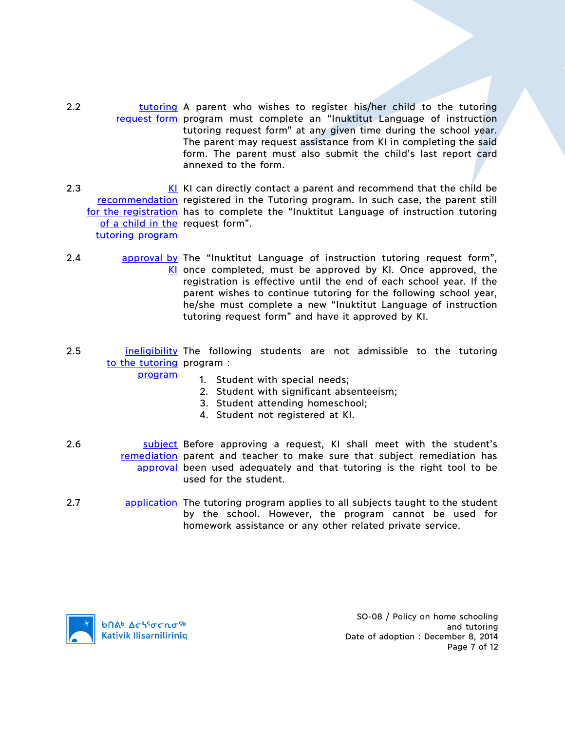- 2.2 **tutoring A parent who wishes to register his/her child to the tutoring** request form program must complete an "Inuktitut Language of instruction tutoring request form" at any given time during the school year. The parent may request assistance from KI in completing the said form. The parent must also submit the child's last report card annexed to the form.
- $2.3$ recommendation registered in the Tutoring program. In such case, the parent still for the registration has to complete the "Inuktitut Language of instruction tutoring of a child in the request form". tutoring program KI can directly contact a parent and recommend that the child be
- 2.4 **approval by The "Inuktitut Language of instruction tutoring request form",** KI once completed, must be approved by KI. Once approved, the registration is effective until the end of each school year. If the parent wishes to continue tutoring for the following school year, he/she must complete a new "Inuktitut Language of instruction tutoring request form" and have it approved by KI.
- 2.5 **ineligibility** The following students are not admissible to the tutoring to the tutoring program:

program

- 1. Student with special needs;
- 2. Student with significant absenteeism;
- 3. Student attending homeschool;
- 4. Student not registered at KI.
- 2.6 **Subject Before approving a request, KI shall meet with the student's** remediation parent and teacher to make sure that subject remediation has approval been used adequately and that tutoring is the right tool to be used for the student.
- 2.7 application The tutoring program applies to all subjects taught to the student by the school. However, the program cannot be used for homework assistance or any other related private service.



SO-08 / Policy on home schooling and tutoring Date of adoption : December 8, 2014 Page 7 of 12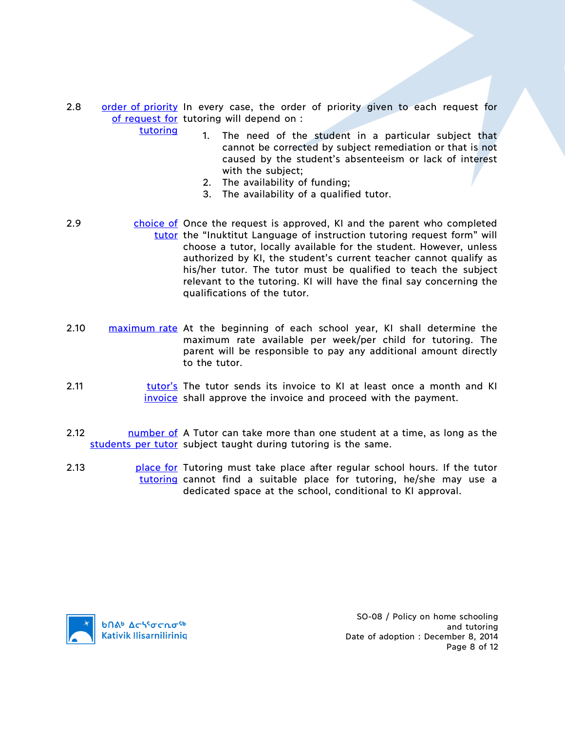- 2.8 order of priority In every case, the order of priority given to each request for of request for tutoring will depend on : tutoring
	- 1. The need of the student in a particular subject that cannot be corrected by subject remediation or that is not caused by the student's absenteeism or lack of interest with the subject;
	- 2. The availability of funding;
	- 3. The availability of a qualified tutor.
- 2.9 choice of Once the request is approved, KI and the parent who completed tutor the "Inuktitut Language of instruction tutoring request form" will choose a tutor, locally available for the student. However, unless authorized by KI, the student's current teacher cannot qualify as his/her tutor. The tutor must be qualified to teach the subject relevant to the tutoring. KI will have the final say concerning the qualifications of the tutor.
- 2.10 maximum rate At the beginning of each school year, KI shall determine the maximum rate available per week/per child for tutoring. The parent will be responsible to pay any additional amount directly to the tutor.
- 2.11 **tutor's** The tutor sends its invoice to KI at least once a month and KI invoice shall approve the invoice and proceed with the payment.
- 2.12 **I** number of A Tutor can take more than one student at a time, as long as the students per tutor subject taught during tutoring is the same.
- 2.13 **place for Tutoring must take place after regular school hours. If the tutor** tutoring cannot find a suitable place for tutoring, he/she may use a dedicated space at the school, conditional to KI approval.



SO-08 / Policy on home schooling and tutoring Date of adoption : December 8, 2014 Page 8 of 12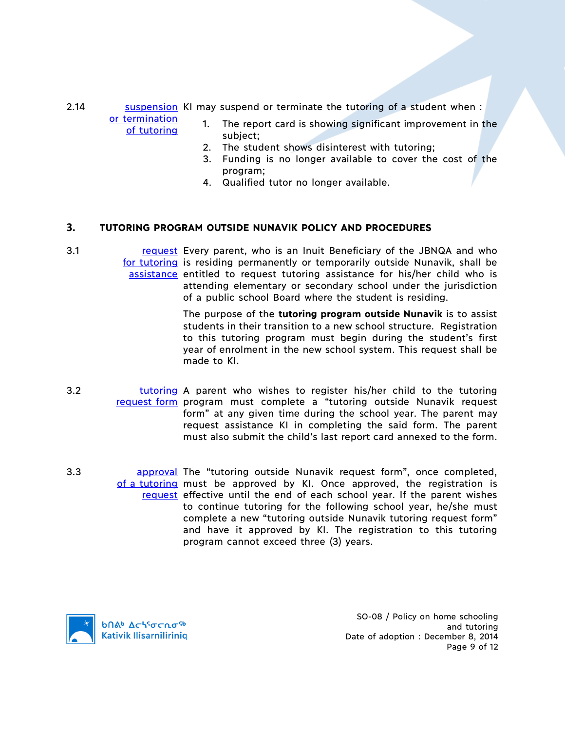2.14 **Suspension KI may suspend or terminate the tutoring of a student when:** 

or termination of tutoring

- 1. The report card is showing significant improvement in the subject;
- 2. The student shows disinterest with tutoring;
- 3. Funding is no longer available to cover the cost of the program;
- 4. Qualified tutor no longer available.

# **3. TUTORING PROGRAM OUTSIDE NUNAVIK POLICY AND PROCEDURES**

3.1 **request** Every parent, who is an Inuit Beneficiary of the JBNQA and who for tutoring is residing permanently or temporarily outside Nunavik, shall be assistance entitled to request tutoring assistance for his/her child who is attending elementary or secondary school under the jurisdiction of a public school Board where the student is residing.

> The purpose of the **tutoring program outside Nunavik** is to assist students in their transition to a new school structure. Registration to this tutoring program must begin during the student's first year of enrolment in the new school system. This request shall be made to KI.

- 3.2 **tutoring** A parent who wishes to register his/her child to the tutoring request form program must complete a "tutoring outside Nunavik request form" at any given time during the school year. The parent may request assistance KI in completing the said form. The parent must also submit the child's last report card annexed to the form.
- 3.3 **approval The "tutoring outside Nunavik request form", once completed,** of a tutoring must be approved by KI. Once approved, the registration is request effective until the end of each school year. If the parent wishes to continue tutoring for the following school year, he/she must complete a new "tutoring outside Nunavik tutoring request form" and have it approved by KI. The registration to this tutoring program cannot exceed three (3) years.



SO-08 / Policy on home schooling and tutoring Date of adoption : December 8, 2014 Page 9 of 12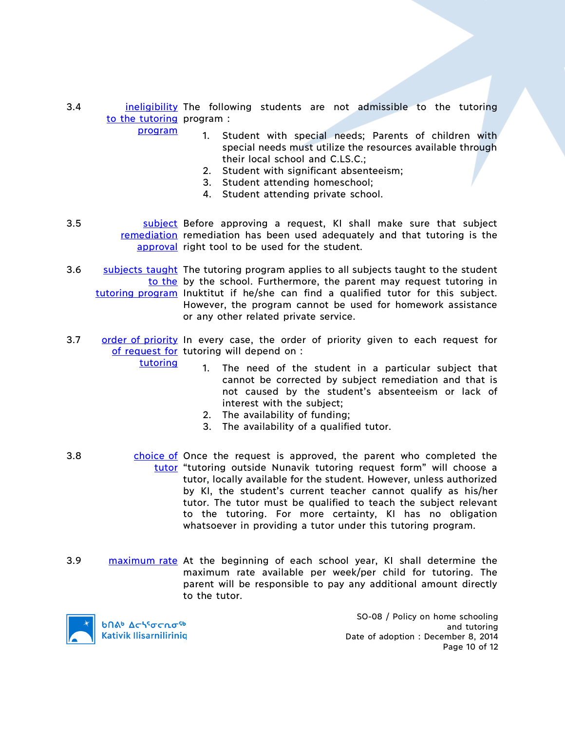3.4 **ineligibility** The following students are not admissible to the tutoring to the tutoring program:

program

tutoring

- 1. Student with special needs; Parents of children with special needs must utilize the resources available through their local school and C.LS.C.;
- 2. Student with significant absenteeism;
- 3. Student attending homeschool;
- 4. Student attending private school.
- 3.5 **Subject Before approving a request, KI shall make sure that subject** remediation remediation has been used adequately and that tutoring is the approval right tool to be used for the student.
- 3.6 Subjects taught The tutoring program applies to all subjects taught to the student to the by the school. Furthermore, the parent may request tutoring in tutoring program Inuktitut if he/she can find a qualified tutor for this subject. However, the program cannot be used for homework assistance or any other related private service.
- 3.7 order of priority In every case, the order of priority given to each request for of request for tutoring will depend on :
	- 1. The need of the student in a particular subject that cannot be corrected by subject remediation and that is not caused by the student's absenteeism or lack of interest with the subject;
	- 2. The availability of funding;
	- 3. The availability of a qualified tutor.
- 3.8 choice of Once the request is approved, the parent who completed the tutor "tutoring outside Nunavik tutoring request form" will choose a tutor, locally available for the student. However, unless authorized by KI, the student's current teacher cannot qualify as his/her tutor. The tutor must be qualified to teach the subject relevant to the tutoring. For more certainty, KI has no obligation whatsoever in providing a tutor under this tutoring program.
- 3.9 maximum rate At the beginning of each school year, KI shall determine the maximum rate available per week/per child for tutoring. The parent will be responsible to pay any additional amount directly to the tutor.



SO-08 / Policy on home schooling and tutoring Date of adoption : December 8, 2014 Page 10 of 12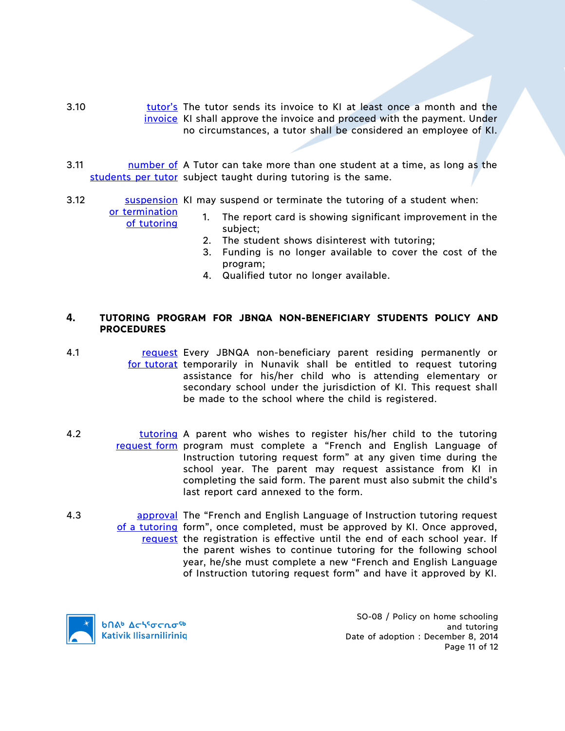- 3.10 **tutor's** The tutor sends its invoice to KI at least once a month and the invoice KI shall approve the invoice and proceed with the payment. Under no circumstances, a tutor shall be considered an employee of KI.
- 3.11 **I** number of A Tutor can take more than one student at a time, as long as the students per tutor subject taught during tutoring is the same.
- 3.12 **Suspension KI may suspend or terminate the tutoring of a student when:**

or termination of tutoring

- 1. The report card is showing significant improvement in the subject;
	- 2. The student shows disinterest with tutoring;
	- 3. Funding is no longer available to cover the cost of the program;
	- 4. Qualified tutor no longer available.

## **4. TUTORING PROGRAM FOR JBNQA NON-BENEFICIARY STUDENTS POLICY AND PROCEDURES**

- 4.1 **request Every JBNQA non-beneficiary parent residing permanently or** for tutorat temporarily in Nunavik shall be entitled to request tutoring assistance for his/her child who is attending elementary or secondary school under the jurisdiction of KI. This request shall be made to the school where the child is registered.
- 4.2 **tutoring** A parent who wishes to register his/her child to the tutoring request form program must complete a "French and English Language of Instruction tutoring request form" at any given time during the school year. The parent may request assistance from KI in completing the said form. The parent must also submit the child's last report card annexed to the form.
- 4.3 **approval The "French and English Language of Instruction tutoring request** of a tutoring form", once completed, must be approved by KI. Once approved, request the registration is effective until the end of each school year. If the parent wishes to continue tutoring for the following school year, he/she must complete a new "French and English Language of Instruction tutoring request form" and have it approved by KI.



SO-08 / Policy on home schooling and tutoring Date of adoption : December 8, 2014 Page 11 of 12